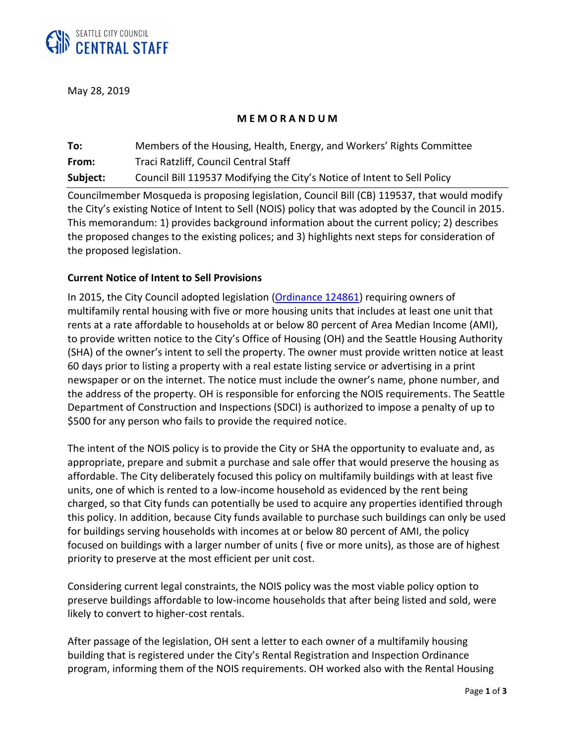

May 28, 2019

## **M E M O R A N D U M**

**To:** Members of the Housing, Health, Energy, and Workers' Rights Committee **From:** Traci Ratzliff, Council Central Staff **Subject:** Council Bill 119537 Modifying the City's Notice of Intent to Sell Policy

Councilmember Mosqueda is proposing legislation, Council Bill (CB) 119537, that would modify the City's existing Notice of Intent to Sell (NOIS) policy that was adopted by the Council in 2015. This memorandum: 1) provides background information about the current policy; 2) describes the proposed changes to the existing polices; and 3) highlights next steps for consideration of the proposed legislation.

## **Current Notice of Intent to Sell Provisions**

In 2015, the City Council adopted legislation [\(Ordinance 124861\)](http://seattle.legistar.com/LegislationDetail.aspx?ID=2323052&GUID=D2A49DDC-EEAD-454D-81FC-8BEC3FBEB49D&Options=ID|Text|&Search=124861) requiring owners of multifamily rental housing with five or more housing units that includes at least one unit that rents at a rate affordable to households at or below 80 percent of Area Median Income (AMI), to provide written notice to the City's Office of Housing (OH) and the Seattle Housing Authority (SHA) of the owner's intent to sell the property. The owner must provide written notice at least 60 days prior to listing a property with a real estate listing service or advertising in a print newspaper or on the internet. The notice must include the owner's name, phone number, and the address of the property. OH is responsible for enforcing the NOIS requirements. The Seattle Department of Construction and Inspections (SDCI) is authorized to impose a penalty of up to \$500 for any person who fails to provide the required notice.

The intent of the NOIS policy is to provide the City or SHA the opportunity to evaluate and, as appropriate, prepare and submit a purchase and sale offer that would preserve the housing as affordable. The City deliberately focused this policy on multifamily buildings with at least five units, one of which is rented to a low-income household as evidenced by the rent being charged, so that City funds can potentially be used to acquire any properties identified through this policy. In addition, because City funds available to purchase such buildings can only be used for buildings serving households with incomes at or below 80 percent of AMI, the policy focused on buildings with a larger number of units ( five or more units), as those are of highest priority to preserve at the most efficient per unit cost.

Considering current legal constraints, the NOIS policy was the most viable policy option to preserve buildings affordable to low-income households that after being listed and sold, were likely to convert to higher-cost rentals.

After passage of the legislation, OH sent a letter to each owner of a multifamily housing building that is registered under the City's Rental Registration and Inspection Ordinance program, informing them of the NOIS requirements. OH worked also with the Rental Housing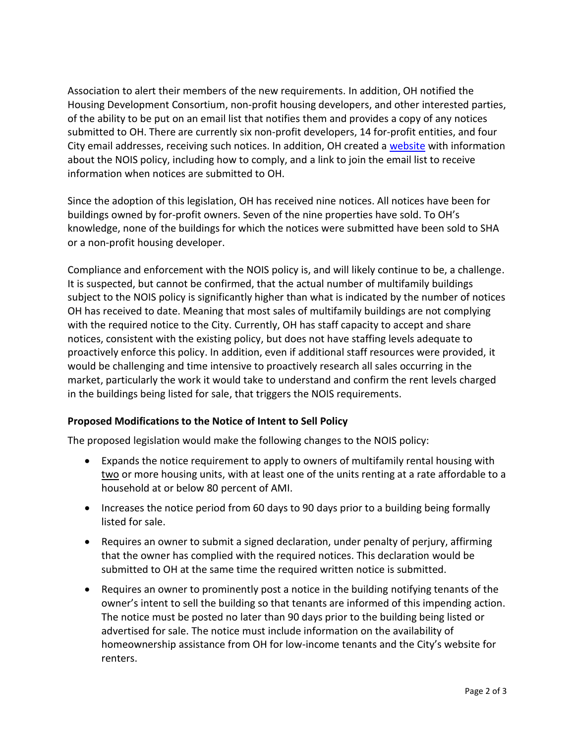Association to alert their members of the new requirements. In addition, OH notified the Housing Development Consortium, non-profit housing developers, and other interested parties, of the ability to be put on an email list that notifies them and provides a copy of any notices submitted to OH. There are currently six non-profit developers, 14 for-profit entities, and four City email addresses, receiving such notices. In addition, OH created [a website](http://www.seattle.gov/housing/intent-to-sell) with information about the NOIS policy, including how to comply, and a link to join the email list to receive information when notices are submitted to OH.

Since the adoption of this legislation, OH has received nine notices. All notices have been for buildings owned by for-profit owners. Seven of the nine properties have sold. To OH's knowledge, none of the buildings for which the notices were submitted have been sold to SHA or a non-profit housing developer.

Compliance and enforcement with the NOIS policy is, and will likely continue to be, a challenge. It is suspected, but cannot be confirmed, that the actual number of multifamily buildings subject to the NOIS policy is significantly higher than what is indicated by the number of notices OH has received to date. Meaning that most sales of multifamily buildings are not complying with the required notice to the City. Currently, OH has staff capacity to accept and share notices, consistent with the existing policy, but does not have staffing levels adequate to proactively enforce this policy. In addition, even if additional staff resources were provided, it would be challenging and time intensive to proactively research all sales occurring in the market, particularly the work it would take to understand and confirm the rent levels charged in the buildings being listed for sale, that triggers the NOIS requirements.

## **Proposed Modifications to the Notice of Intent to Sell Policy**

The proposed legislation would make the following changes to the NOIS policy:

- Expands the notice requirement to apply to owners of multifamily rental housing with two or more housing units, with at least one of the units renting at a rate affordable to a household at or below 80 percent of AMI.
- Increases the notice period from 60 days to 90 days prior to a building being formally listed for sale.
- Requires an owner to submit a signed declaration, under penalty of perjury, affirming that the owner has complied with the required notices. This declaration would be submitted to OH at the same time the required written notice is submitted.
- Requires an owner to prominently post a notice in the building notifying tenants of the owner's intent to sell the building so that tenants are informed of this impending action. The notice must be posted no later than 90 days prior to the building being listed or advertised for sale. The notice must include information on the availability of homeownership assistance from OH for low-income tenants and the City's website for renters.